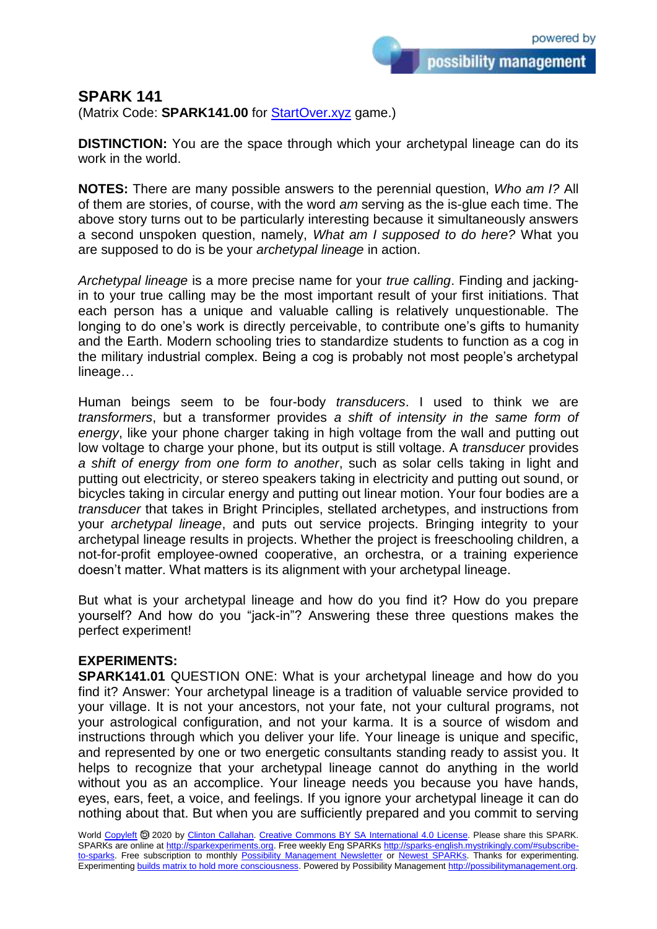possibility management

**SPARK 141**

(Matrix Code: **SPARK141.00** for **StartOver.xyz** game.)

**DISTINCTION:** You are the space through which your archetypal lineage can do its work in the world.

**NOTES:** There are many possible answers to the perennial question, *Who am I?* All of them are stories, of course, with the word *am* serving as the is-glue each time. The above story turns out to be particularly interesting because it simultaneously answers a second unspoken question, namely, *What am I supposed to do here?* What you are supposed to do is be your *archetypal lineage* in action.

*Archetypal lineage* is a more precise name for your *true calling*. Finding and jackingin to your true calling may be the most important result of your first initiations. That each person has a unique and valuable calling is relatively unquestionable. The longing to do one's work is directly perceivable, to contribute one's gifts to humanity and the Earth. Modern schooling tries to standardize students to function as a cog in the military industrial complex. Being a cog is probably not most people's archetypal lineage…

Human beings seem to be four-body *transducers*. I used to think we are *transformers*, but a transformer provides *a shift of intensity in the same form of energy*, like your phone charger taking in high voltage from the wall and putting out low voltage to charge your phone, but its output is still voltage. A *transducer* provides *a shift of energy from one form to another*, such as solar cells taking in light and putting out electricity, or stereo speakers taking in electricity and putting out sound, or bicycles taking in circular energy and putting out linear motion. Your four bodies are a *transducer* that takes in Bright Principles, stellated archetypes, and instructions from your *archetypal lineage*, and puts out service projects. Bringing integrity to your archetypal lineage results in projects. Whether the project is freeschooling children, a not-for-profit employee-owned cooperative, an orchestra, or a training experience doesn't matter. What matters is its alignment with your archetypal lineage.

But what is your archetypal lineage and how do you find it? How do you prepare yourself? And how do you "jack-in"? Answering these three questions makes the perfect experiment!

## **EXPERIMENTS:**

**SPARK141.01** QUESTION ONE: What is your archetypal lineage and how do you find it? Answer: Your archetypal lineage is a tradition of valuable service provided to your village. It is not your ancestors, not your fate, not your cultural programs, not your astrological configuration, and not your karma. It is a source of wisdom and instructions through which you deliver your life. Your lineage is unique and specific, and represented by one or two energetic consultants standing ready to assist you. It helps to recognize that your archetypal lineage cannot do anything in the world without you as an accomplice. Your lineage needs you because you have hands, eyes, ears, feet, a voice, and feelings. If you ignore your archetypal lineage it can do nothing about that. But when you are sufficiently prepared and you commit to serving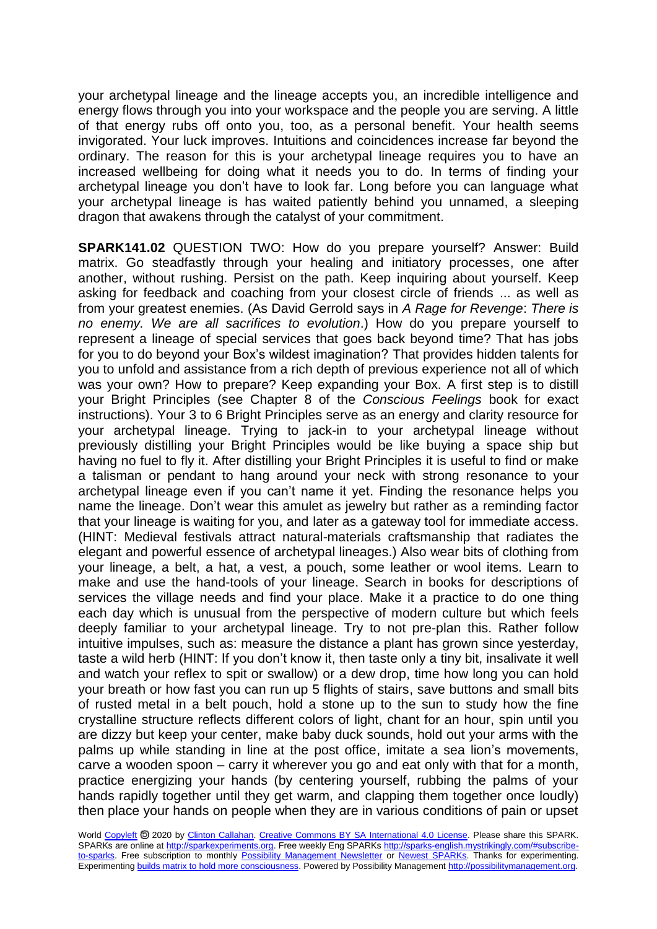your archetypal lineage and the lineage accepts you, an incredible intelligence and energy flows through you into your workspace and the people you are serving. A little of that energy rubs off onto you, too, as a personal benefit. Your health seems invigorated. Your luck improves. Intuitions and coincidences increase far beyond the ordinary. The reason for this is your archetypal lineage requires you to have an increased wellbeing for doing what it needs you to do. In terms of finding your archetypal lineage you don't have to look far. Long before you can language what your archetypal lineage is has waited patiently behind you unnamed, a sleeping dragon that awakens through the catalyst of your commitment.

**SPARK141.02** QUESTION TWO: How do you prepare yourself? Answer: Build matrix. Go steadfastly through your healing and initiatory processes, one after another, without rushing. Persist on the path. Keep inquiring about yourself. Keep asking for feedback and coaching from your closest circle of friends ... as well as from your greatest enemies. (As David Gerrold says in *A Rage for Revenge*: *There is no enemy. We are all sacrifices to evolution*.) How do you prepare yourself to represent a lineage of special services that goes back beyond time? That has jobs for you to do beyond your Box's wildest imagination? That provides hidden talents for you to unfold and assistance from a rich depth of previous experience not all of which was your own? How to prepare? Keep expanding your Box. A first step is to distill your Bright Principles (see Chapter 8 of the *Conscious Feelings* book for exact instructions). Your 3 to 6 Bright Principles serve as an energy and clarity resource for your archetypal lineage. Trying to jack-in to your archetypal lineage without previously distilling your Bright Principles would be like buying a space ship but having no fuel to fly it. After distilling your Bright Principles it is useful to find or make a talisman or pendant to hang around your neck with strong resonance to your archetypal lineage even if you can't name it yet. Finding the resonance helps you name the lineage. Don't wear this amulet as jewelry but rather as a reminding factor that your lineage is waiting for you, and later as a gateway tool for immediate access. (HINT: Medieval festivals attract natural-materials craftsmanship that radiates the elegant and powerful essence of archetypal lineages.) Also wear bits of clothing from your lineage, a belt, a hat, a vest, a pouch, some leather or wool items. Learn to make and use the hand-tools of your lineage. Search in books for descriptions of services the village needs and find your place. Make it a practice to do one thing each day which is unusual from the perspective of modern culture but which feels deeply familiar to your archetypal lineage. Try to not pre-plan this. Rather follow intuitive impulses, such as: measure the distance a plant has grown since yesterday, taste a wild herb (HINT: If you don't know it, then taste only a tiny bit, insalivate it well and watch your reflex to spit or swallow) or a dew drop, time how long you can hold your breath or how fast you can run up 5 flights of stairs, save buttons and small bits of rusted metal in a belt pouch, hold a stone up to the sun to study how the fine crystalline structure reflects different colors of light, chant for an hour, spin until you are dizzy but keep your center, make baby duck sounds, hold out your arms with the palms up while standing in line at the post office, imitate a sea lion's movements, carve a wooden spoon – carry it wherever you go and eat only with that for a month, practice energizing your hands (by centering yourself, rubbing the palms of your hands rapidly together until they get warm, and clapping them together once loudly) then place your hands on people when they are in various conditions of pain or upset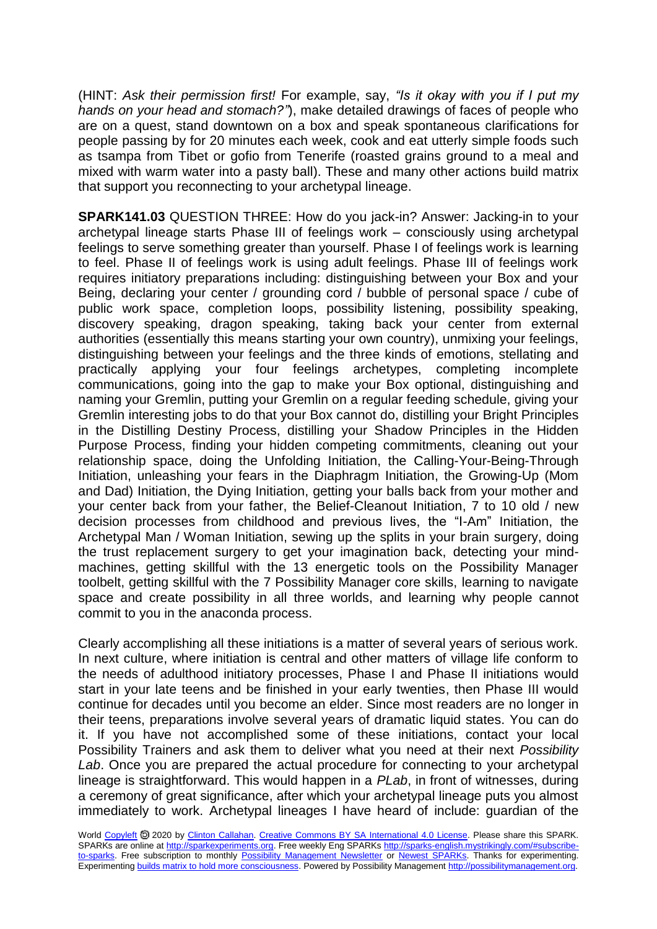(HINT: *Ask their permission first!* For example, say, *"Is it okay with you if I put my hands on your head and stomach?"*), make detailed drawings of faces of people who are on a quest, stand downtown on a box and speak spontaneous clarifications for people passing by for 20 minutes each week, cook and eat utterly simple foods such as tsampa from Tibet or gofio from Tenerife (roasted grains ground to a meal and mixed with warm water into a pasty ball). These and many other actions build matrix that support you reconnecting to your archetypal lineage.

**SPARK141.03** QUESTION THREE: How do you jack-in? Answer: Jacking-in to your archetypal lineage starts Phase III of feelings work – consciously using archetypal feelings to serve something greater than yourself. Phase I of feelings work is learning to feel. Phase II of feelings work is using adult feelings. Phase III of feelings work requires initiatory preparations including: distinguishing between your Box and your Being, declaring your center / grounding cord / bubble of personal space / cube of public work space, completion loops, possibility listening, possibility speaking, discovery speaking, dragon speaking, taking back your center from external authorities (essentially this means starting your own country), unmixing your feelings, distinguishing between your feelings and the three kinds of emotions, stellating and practically applying your four feelings archetypes, completing incomplete communications, going into the gap to make your Box optional, distinguishing and naming your Gremlin, putting your Gremlin on a regular feeding schedule, giving your Gremlin interesting jobs to do that your Box cannot do, distilling your Bright Principles in the Distilling Destiny Process, distilling your Shadow Principles in the Hidden Purpose Process, finding your hidden competing commitments, cleaning out your relationship space, doing the Unfolding Initiation, the Calling-Your-Being-Through Initiation, unleashing your fears in the Diaphragm Initiation, the Growing-Up (Mom and Dad) Initiation, the Dying Initiation, getting your balls back from your mother and your center back from your father, the Belief-Cleanout Initiation, 7 to 10 old / new decision processes from childhood and previous lives, the "I-Am" Initiation, the Archetypal Man / Woman Initiation, sewing up the splits in your brain surgery, doing the trust replacement surgery to get your imagination back, detecting your mindmachines, getting skillful with the 13 energetic tools on the Possibility Manager toolbelt, getting skillful with the 7 Possibility Manager core skills, learning to navigate space and create possibility in all three worlds, and learning why people cannot commit to you in the anaconda process.

Clearly accomplishing all these initiations is a matter of several years of serious work. In next culture, where initiation is central and other matters of village life conform to the needs of adulthood initiatory processes, Phase I and Phase II initiations would start in your late teens and be finished in your early twenties, then Phase III would continue for decades until you become an elder. Since most readers are no longer in their teens, preparations involve several years of dramatic liquid states. You can do it. If you have not accomplished some of these initiations, contact your local Possibility Trainers and ask them to deliver what you need at their next *Possibility Lab*. Once you are prepared the actual procedure for connecting to your archetypal lineage is straightforward. This would happen in a *PLab*, in front of witnesses, during a ceremony of great significance, after which your archetypal lineage puts you almost immediately to work. Archetypal lineages I have heard of include: guardian of the